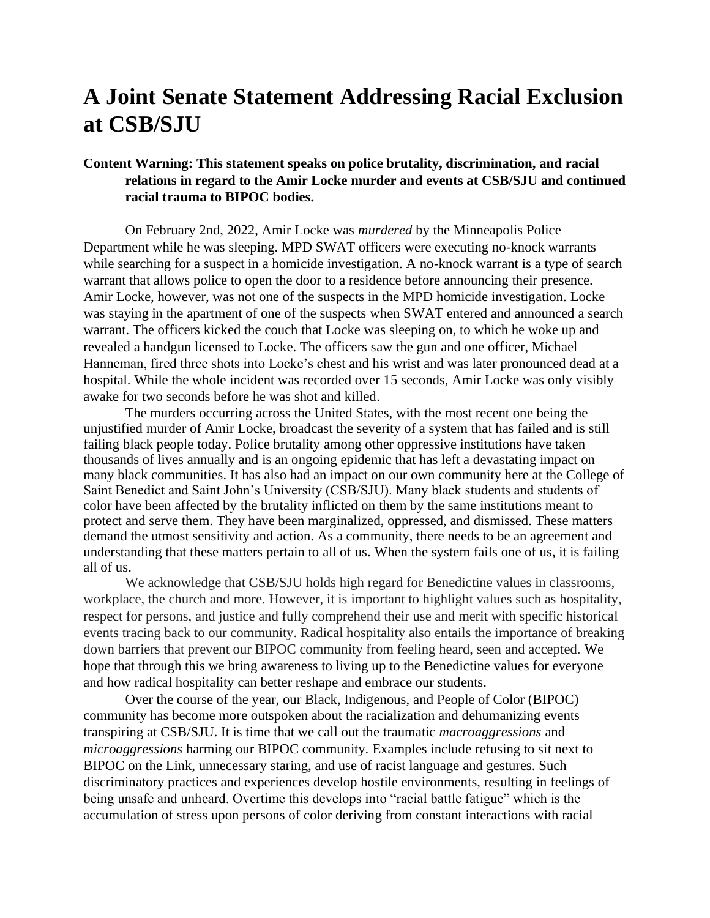## **A Joint Senate Statement Addressing Racial Exclusion at CSB/SJU**

## **Content Warning: This statement speaks on police brutality, discrimination, and racial relations in regard to the Amir Locke murder and events at CSB/SJU and continued racial trauma to BIPOC bodies.**

On February 2nd, 2022, Amir Locke was *murdered* by the Minneapolis Police Department while he was sleeping. MPD SWAT officers were executing no-knock warrants while searching for a suspect in a homicide investigation. A no-knock warrant is a type of search warrant that allows police to open the door to a residence before announcing their presence. Amir Locke, however, was not one of the suspects in the MPD homicide investigation. Locke was staying in the apartment of one of the suspects when SWAT entered and announced a search warrant. The officers kicked the couch that Locke was sleeping on, to which he woke up and revealed a handgun licensed to Locke. The officers saw the gun and one officer, Michael Hanneman, fired three shots into Locke's chest and his wrist and was later pronounced dead at a hospital. While the whole incident was recorded over 15 seconds, Amir Locke was only visibly awake for two seconds before he was shot and killed.

The murders occurring across the United States, with the most recent one being the unjustified murder of Amir Locke, broadcast the severity of a system that has failed and is still failing black people today. Police brutality among other oppressive institutions have taken thousands of lives annually and is an ongoing epidemic that has left a devastating impact on many black communities. It has also had an impact on our own community here at the College of Saint Benedict and Saint John's University (CSB/SJU). Many black students and students of color have been affected by the brutality inflicted on them by the same institutions meant to protect and serve them. They have been marginalized, oppressed, and dismissed. These matters demand the utmost sensitivity and action. As a community, there needs to be an agreement and understanding that these matters pertain to all of us. When the system fails one of us, it is failing all of us.

We acknowledge that CSB/SJU holds high regard for Benedictine values in classrooms, workplace, the church and more. However, it is important to highlight values such as hospitality, respect for persons, and justice and fully comprehend their use and merit with specific historical events tracing back to our community. Radical hospitality also entails the importance of breaking down barriers that prevent our BIPOC community from feeling heard, seen and accepted. We hope that through this we bring awareness to living up to the Benedictine values for everyone and how radical hospitality can better reshape and embrace our students.

Over the course of the year, our Black, Indigenous, and People of Color (BIPOC) community has become more outspoken about the racialization and dehumanizing events transpiring at CSB/SJU. It is time that we call out the traumatic *macroaggressions* and *microaggressions* harming our BIPOC community. Examples include refusing to sit next to BIPOC on the Link, unnecessary staring, and use of racist language and gestures. Such discriminatory practices and experiences develop hostile environments, resulting in feelings of being unsafe and unheard. Overtime this develops into "racial battle fatigue" which is the accumulation of stress upon persons of color deriving from constant interactions with racial